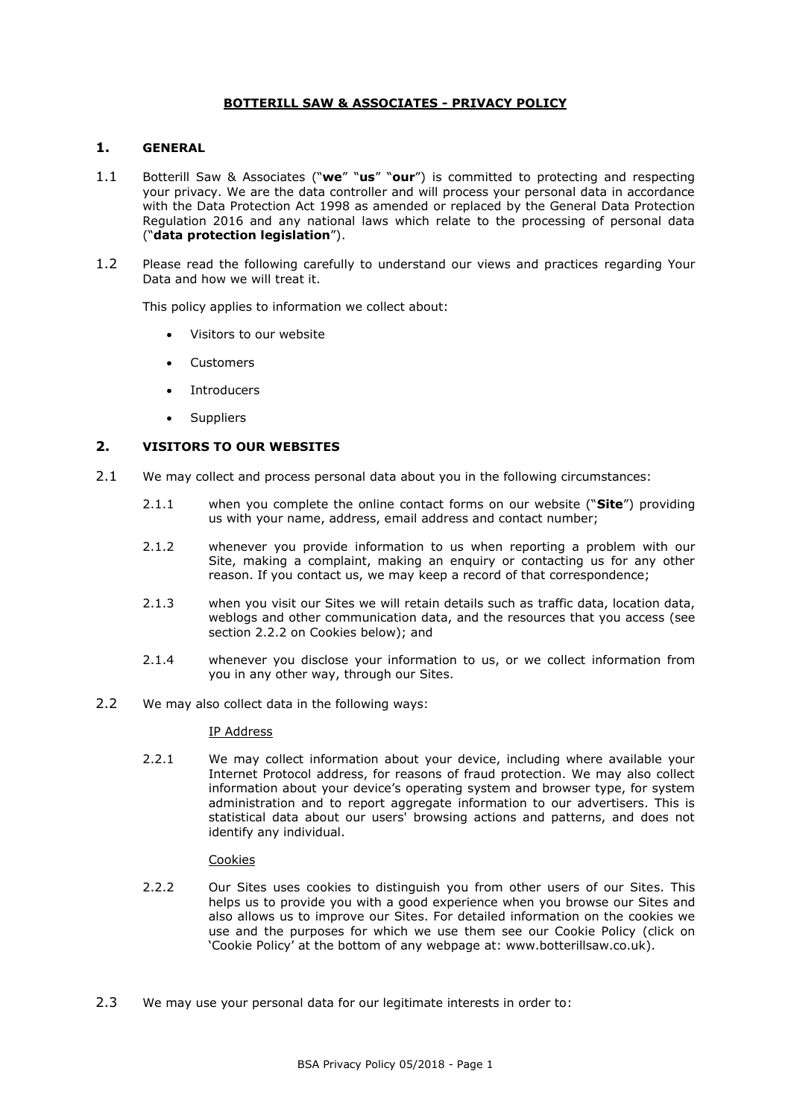# **BOTTERILL SAW & ASSOCIATES - PRIVACY POLICY**

# **1. GENERAL**

- 1.1 Botterill Saw & Associates ("**we**" "**us**" "**our**") is committed to protecting and respecting your privacy. We are the data controller and will process your personal data in accordance with the Data Protection Act 1998 as amended or replaced by the General Data Protection Regulation 2016 and any national laws which relate to the processing of personal data ("**data protection legislation**").
- 1.2 Please read the following carefully to understand our views and practices regarding Your Data and how we will treat it.

This policy applies to information we collect about:

- Visitors to our website
- **Customers**
- **Introducers**
- **Suppliers**

# **2. VISITORS TO OUR WEBSITES**

- 2.1 We may collect and process personal data about you in the following circumstances:
	- 2.1.1 when you complete the online contact forms on our website ("**Site**") providing us with your name, address, email address and contact number;
	- 2.1.2 whenever you provide information to us when reporting a problem with our Site, making a complaint, making an enquiry or contacting us for any other reason. If you contact us, we may keep a record of that correspondence;
	- 2.1.3 when you visit our Sites we will retain details such as traffic data, location data, weblogs and other communication data, and the resources that you access (see section 2.2.2 on Cookies below); and
	- 2.1.4 whenever you disclose your information to us, or we collect information from you in any other way, through our Sites.
- 2.2 We may also collect data in the following ways:

### IP Address

2.2.1 We may collect information about your device, including where available your Internet Protocol address, for reasons of fraud protection. We may also collect information about your device's operating system and browser type, for system administration and to report aggregate information to our advertisers. This is statistical data about our users' browsing actions and patterns, and does not identify any individual.

### Cookies

- 2.2.2 Our Sites uses cookies to distinguish you from other users of our Sites. This helps us to provide you with a good experience when you browse our Sites and also allows us to improve our Sites. For detailed information on the cookies we use and the purposes for which we use them see our Cookie Policy (click on 'Cookie Policy' at the bottom of any webpage at: www.botterillsaw.co.uk).
- 2.3 We may use your personal data for our legitimate interests in order to: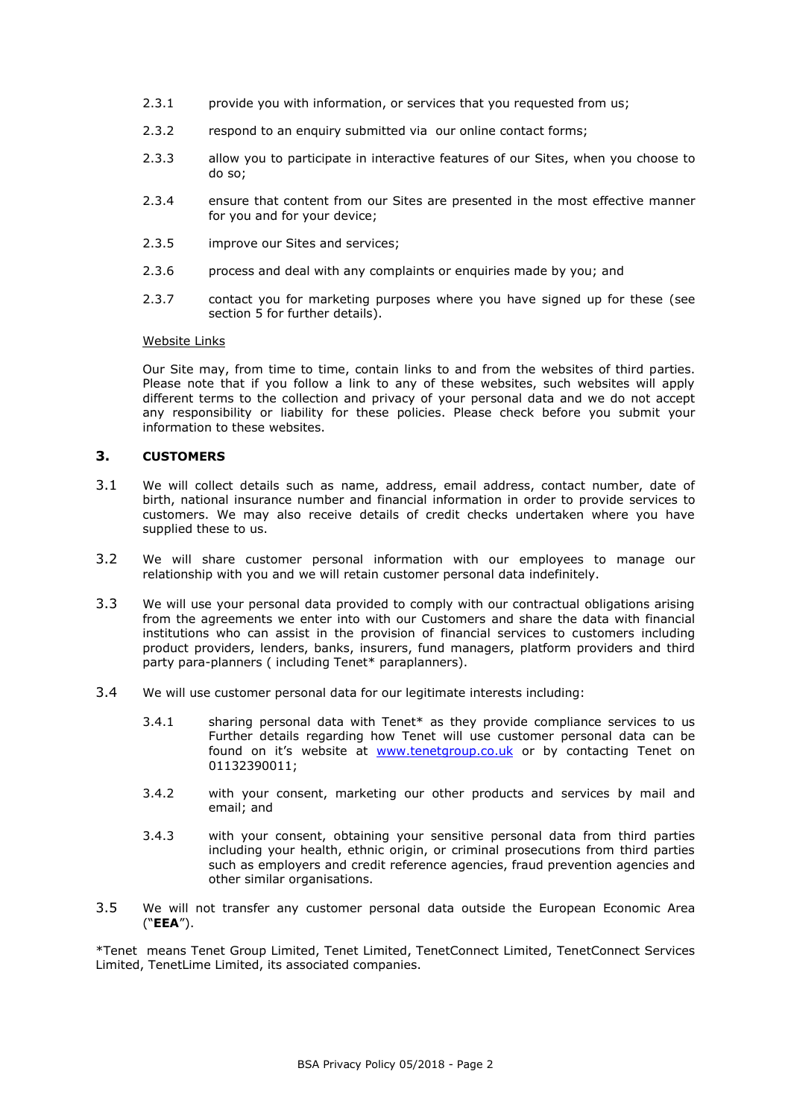- 2.3.1 provide you with information, or services that you requested from us;
- 2.3.2 respond to an enquiry submitted via our online contact forms;
- 2.3.3 allow you to participate in interactive features of our Sites, when you choose to do so;
- 2.3.4 ensure that content from our Sites are presented in the most effective manner for you and for your device;
- 2.3.5 improve our Sites and services;
- 2.3.6 process and deal with any complaints or enquiries made by you; and
- 2.3.7 contact you for marketing purposes where you have signed up for these (see section 5 for further details).

#### Website Links

Our Site may, from time to time, contain links to and from the websites of third parties. Please note that if you follow a link to any of these websites, such websites will apply different terms to the collection and privacy of your personal data and we do not accept any responsibility or liability for these policies. Please check before you submit your information to these websites.

### **3. CUSTOMERS**

- 3.1 We will collect details such as name, address, email address, contact number, date of birth, national insurance number and financial information in order to provide services to customers. We may also receive details of credit checks undertaken where you have supplied these to us.
- 3.2 We will share customer personal information with our employees to manage our relationship with you and we will retain customer personal data indefinitely.
- 3.3 We will use your personal data provided to comply with our contractual obligations arising from the agreements we enter into with our Customers and share the data with financial institutions who can assist in the provision of financial services to customers including product providers, lenders, banks, insurers, fund managers, platform providers and third party para-planners ( including Tenet\* paraplanners).
- 3.4 We will use customer personal data for our legitimate interests including:
	- 3.4.1 sharing personal data with Tenet\* as they provide compliance services to us Further details regarding how Tenet will use customer personal data can be found on it's website at **[www.tenetgroup.co.uk](http://www.tenetgroup.co.uk/)** or by contacting Tenet on 01132390011;
	- 3.4.2 with your consent, marketing our other products and services by mail and email; and
	- 3.4.3 with your consent, obtaining your sensitive personal data from third parties including your health, ethnic origin, or criminal prosecutions from third parties such as employers and credit reference agencies, fraud prevention agencies and other similar organisations.
- 3.5 We will not transfer any customer personal data outside the European Economic Area ("**EEA**").

\*Tenet means Tenet Group Limited, Tenet Limited, TenetConnect Limited, TenetConnect Services Limited, TenetLime Limited, its associated companies.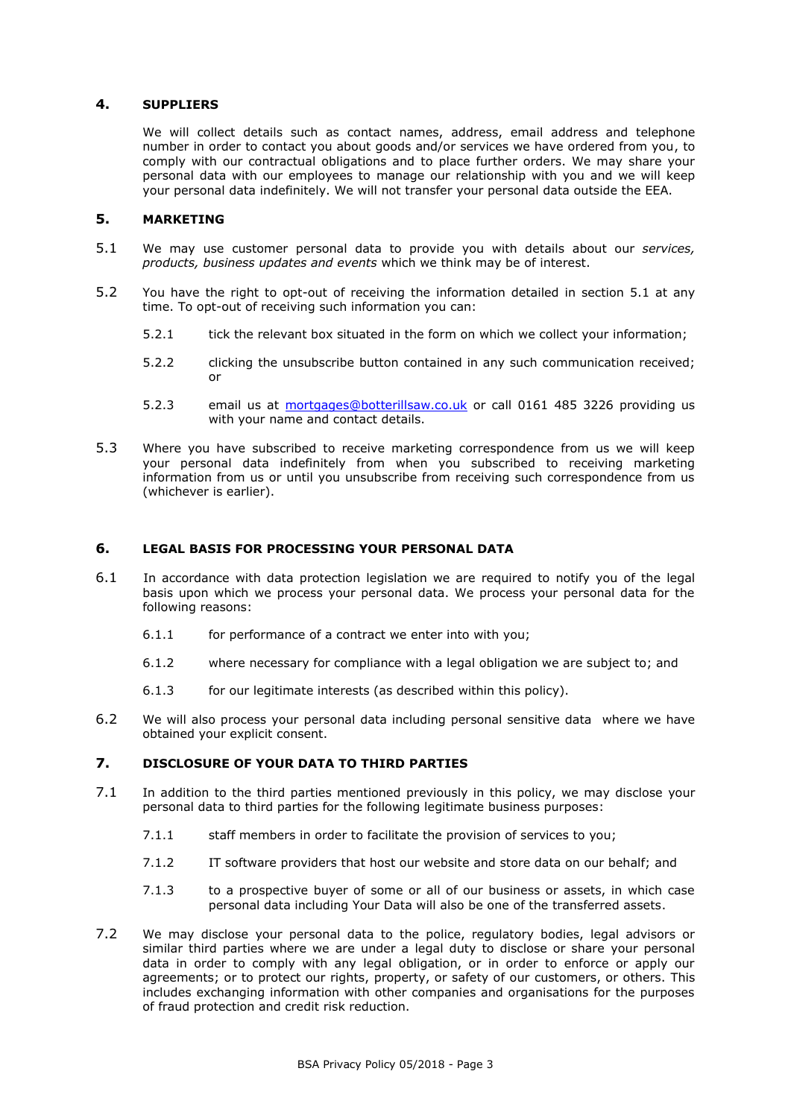# **4. SUPPLIERS**

We will collect details such as contact names, address, email address and telephone number in order to contact you about goods and/or services we have ordered from you, to comply with our contractual obligations and to place further orders. We may share your personal data with our employees to manage our relationship with you and we will keep your personal data indefinitely. We will not transfer your personal data outside the EEA.

# **5. MARKETING**

- 5.1 We may use customer personal data to provide you with details about our *services, products, business updates and events* which we think may be of interest.
- 5.2 You have the right to opt-out of receiving the information detailed in section 5.1 at any time. To opt-out of receiving such information you can:
	- 5.2.1 tick the relevant box situated in the form on which we collect your information;
	- 5.2.2 clicking the unsubscribe button contained in any such communication received; or
	- 5.2.3 email us at [mortgages@botterillsaw.co.uk](mailto:mortgages@botterillsaw.co.uk) or call 0161 485 3226 providing us with your name and contact details.
- 5.3 Where you have subscribed to receive marketing correspondence from us we will keep your personal data indefinitely from when you subscribed to receiving marketing information from us or until you unsubscribe from receiving such correspondence from us (whichever is earlier).

### **6. LEGAL BASIS FOR PROCESSING YOUR PERSONAL DATA**

- 6.1 In accordance with data protection legislation we are required to notify you of the legal basis upon which we process your personal data. We process your personal data for the following reasons:
	- 6.1.1 for performance of a contract we enter into with you;
	- 6.1.2 where necessary for compliance with a legal obligation we are subject to; and
	- 6.1.3 for our legitimate interests (as described within this policy).
- 6.2 We will also process your personal data including personal sensitive data where we have obtained your explicit consent.

# **7. DISCLOSURE OF YOUR DATA TO THIRD PARTIES**

- 7.1 In addition to the third parties mentioned previously in this policy, we may disclose your personal data to third parties for the following legitimate business purposes:
	- 7.1.1 staff members in order to facilitate the provision of services to you;
	- 7.1.2 IT software providers that host our website and store data on our behalf; and
	- 7.1.3 to a prospective buyer of some or all of our business or assets, in which case personal data including Your Data will also be one of the transferred assets.
- 7.2 We may disclose your personal data to the police, regulatory bodies, legal advisors or similar third parties where we are under a legal duty to disclose or share your personal data in order to comply with any legal obligation, or in order to enforce or apply our agreements; or to protect our rights, property, or safety of our customers, or others. This includes exchanging information with other companies and organisations for the purposes of fraud protection and credit risk reduction.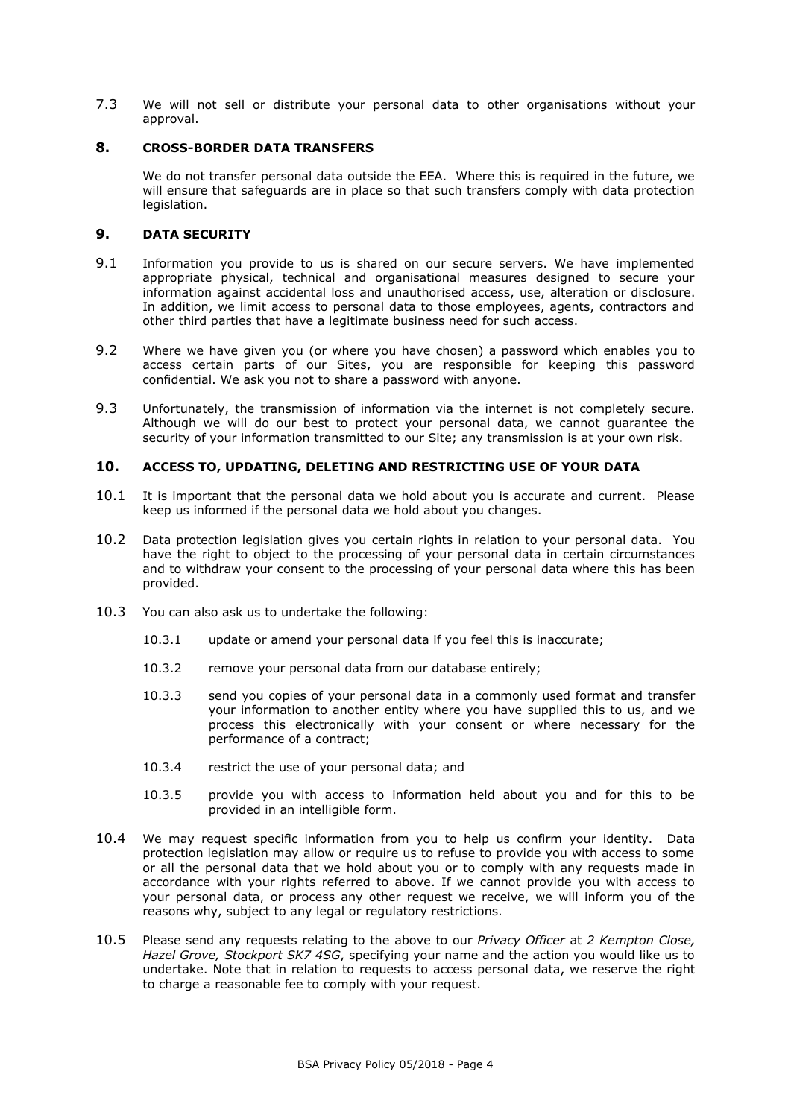7.3 We will not sell or distribute your personal data to other organisations without your approval.

### **8. CROSS-BORDER DATA TRANSFERS**

We do not transfer personal data outside the EEA. Where this is required in the future, we will ensure that safeguards are in place so that such transfers comply with data protection legislation.

# **9. DATA SECURITY**

- 9.1 Information you provide to us is shared on our secure servers. We have implemented appropriate physical, technical and organisational measures designed to secure your information against accidental loss and unauthorised access, use, alteration or disclosure. In addition, we limit access to personal data to those employees, agents, contractors and other third parties that have a legitimate business need for such access.
- 9.2 Where we have given you (or where you have chosen) a password which enables you to access certain parts of our Sites, you are responsible for keeping this password confidential. We ask you not to share a password with anyone.
- 9.3 Unfortunately, the transmission of information via the internet is not completely secure. Although we will do our best to protect your personal data, we cannot guarantee the security of your information transmitted to our Site; any transmission is at your own risk.

# **10. ACCESS TO, UPDATING, DELETING AND RESTRICTING USE OF YOUR DATA**

- 10.1 It is important that the personal data we hold about you is accurate and current. Please keep us informed if the personal data we hold about you changes.
- 10.2 Data protection legislation gives you certain rights in relation to your personal data. You have the right to object to the processing of your personal data in certain circumstances and to withdraw your consent to the processing of your personal data where this has been provided.
- 10.3 You can also ask us to undertake the following:
	- 10.3.1 update or amend your personal data if you feel this is inaccurate;
	- 10.3.2 remove your personal data from our database entirely;
	- 10.3.3 send you copies of your personal data in a commonly used format and transfer your information to another entity where you have supplied this to us, and we process this electronically with your consent or where necessary for the performance of a contract;
	- 10.3.4 restrict the use of your personal data; and
	- 10.3.5 provide you with access to information held about you and for this to be provided in an intelligible form.
- 10.4 We may request specific information from you to help us confirm your identity. Data protection legislation may allow or require us to refuse to provide you with access to some or all the personal data that we hold about you or to comply with any requests made in accordance with your rights referred to above. If we cannot provide you with access to your personal data, or process any other request we receive, we will inform you of the reasons why, subject to any legal or regulatory restrictions.
- 10.5 Please send any requests relating to the above to our *Privacy Officer* at *2 Kempton Close, Hazel Grove, Stockport SK7 4SG*, specifying your name and the action you would like us to undertake. Note that in relation to requests to access personal data, we reserve the right to charge a reasonable fee to comply with your request.